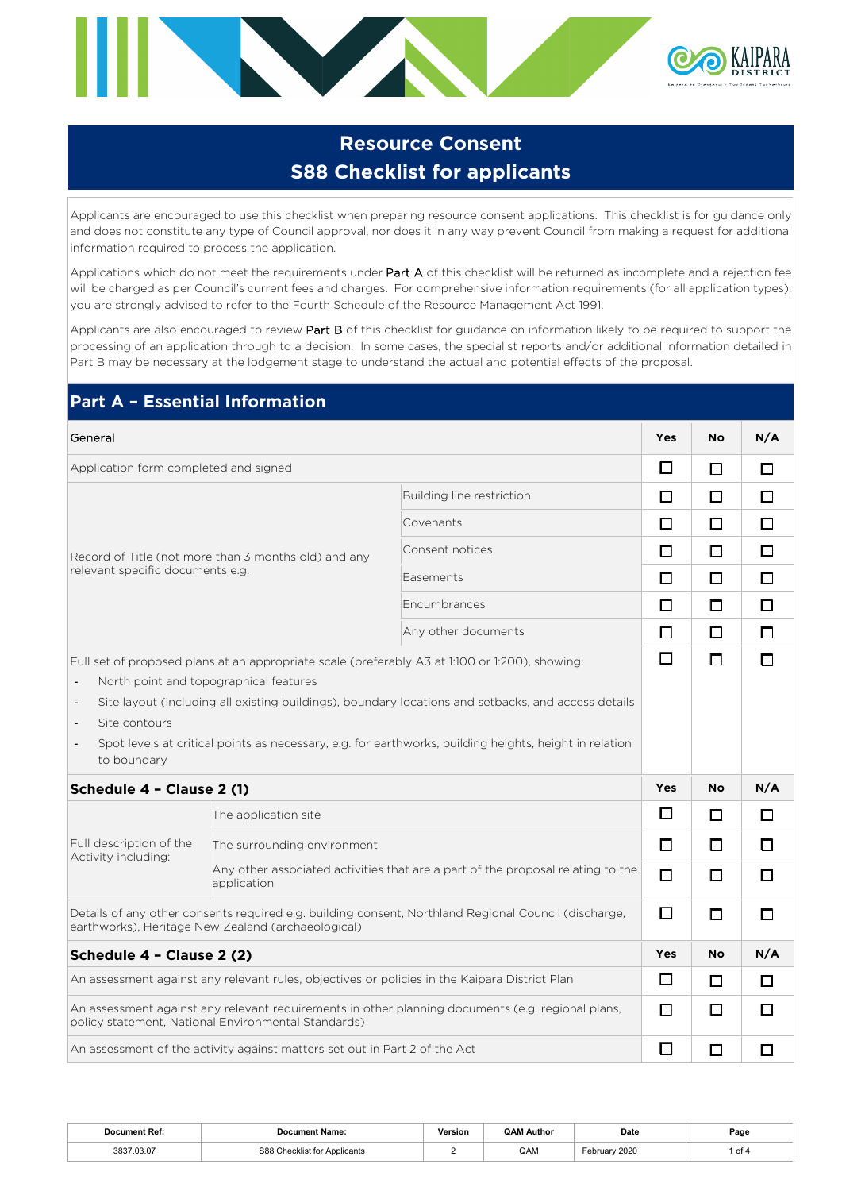

# **Resource Consent S88 Checklist for applicants**

Applicants are encouraged to use this checklist when preparing resource consent applications. This checklist is for guidance only and does not constitute any type of Council approval, nor does it in any way prevent Council from making a request for additional information required to process the application.

Applications which do not meet the requirements under Part A of this checklist will be returned as incomplete and a rejection fee will be charged as per Council's current fees and charges. For comprehensive information requirements (for all application types), you are strongly advised to refer to the Fourth Schedule of the Resource Management Act 1991.

Applicants are also encouraged to review Part B of this checklist for guidance on information likely to be required to support the processing of an application through to a decision. In some cases, the specialist reports and/or additional information detailed in Part B may be necessary at the lodgement stage to understand the actual and potential effects of the proposal.

| <b>Part A - Essential Information</b>                                                                            |                                                                            |                                                                                                                                                                                                               |                                             |           |        |
|------------------------------------------------------------------------------------------------------------------|----------------------------------------------------------------------------|---------------------------------------------------------------------------------------------------------------------------------------------------------------------------------------------------------------|---------------------------------------------|-----------|--------|
| General                                                                                                          |                                                                            |                                                                                                                                                                                                               | <b>Yes</b>                                  | <b>No</b> | N/A    |
| Application form completed and signed                                                                            |                                                                            |                                                                                                                                                                                                               | $\Box$                                      | □         | П      |
|                                                                                                                  |                                                                            | Building line restriction                                                                                                                                                                                     | $\Box$                                      | □         | □      |
|                                                                                                                  |                                                                            | Covenants                                                                                                                                                                                                     | П                                           | □         | □      |
|                                                                                                                  | Record of Title (not more than 3 months old) and any                       | Consent notices                                                                                                                                                                                               | □                                           | П         | □      |
| relevant specific documents e.g.                                                                                 |                                                                            | Easements                                                                                                                                                                                                     | $\Box$                                      | □         | □      |
|                                                                                                                  |                                                                            | Encumbrances                                                                                                                                                                                                  | □                                           | $\Box$    | □      |
|                                                                                                                  |                                                                            | Any other documents                                                                                                                                                                                           | □                                           | $\Box$    | $\Box$ |
| $\overline{\phantom{a}}$<br>Site contours<br>$\overline{\phantom{a}}$<br>$\overline{\phantom{a}}$<br>to boundary | North point and topographical features                                     | Site layout (including all existing buildings), boundary locations and setbacks, and access details<br>Spot levels at critical points as necessary, e.g. for earthworks, building heights, height in relation |                                             |           |        |
| Schedule 4 - Clause 2 (1)                                                                                        |                                                                            |                                                                                                                                                                                                               | <b>Yes</b>                                  | <b>No</b> | N/A    |
|                                                                                                                  | The application site                                                       |                                                                                                                                                                                                               | □                                           | □         | □      |
| Full description of the<br>Activity including:                                                                   | The surrounding environment                                                |                                                                                                                                                                                                               | $\Box$<br>п<br>□<br>□<br>Yes<br>$\Box$<br>П | п         | п      |
|                                                                                                                  | application                                                                | Any other associated activities that are a part of the proposal relating to the                                                                                                                               |                                             | □         | П      |
|                                                                                                                  | earthworks), Heritage New Zealand (archaeological)                         | Details of any other consents required e.g. building consent, Northland Regional Council (discharge,                                                                                                          |                                             | □         | п      |
| Schedule 4 - Clause 2 (2)                                                                                        |                                                                            |                                                                                                                                                                                                               |                                             | No        | N/A    |
|                                                                                                                  |                                                                            | An assessment against any relevant rules, objectives or policies in the Kaipara District Plan                                                                                                                 |                                             | $\Box$    | □      |
|                                                                                                                  | policy statement, National Environmental Standards)                        | An assessment against any relevant requirements in other planning documents (e.g. regional plans,                                                                                                             |                                             | □         | □      |
|                                                                                                                  | An assessment of the activity against matters set out in Part 2 of the Act |                                                                                                                                                                                                               | □                                           | □         | □      |

| Document Ref:   | Name                 | $\mathbf{V}$<br>/ersion<br>. | ገልበ<br>Author | Date               | Page   |
|-----------------|----------------------|------------------------------|---------------|--------------------|--------|
| 3837 03 07<br>. | ה הר<br>icants<br>__ |                              | QAM           | 000<br>ZUZU<br>___ | 1 of ⋅ |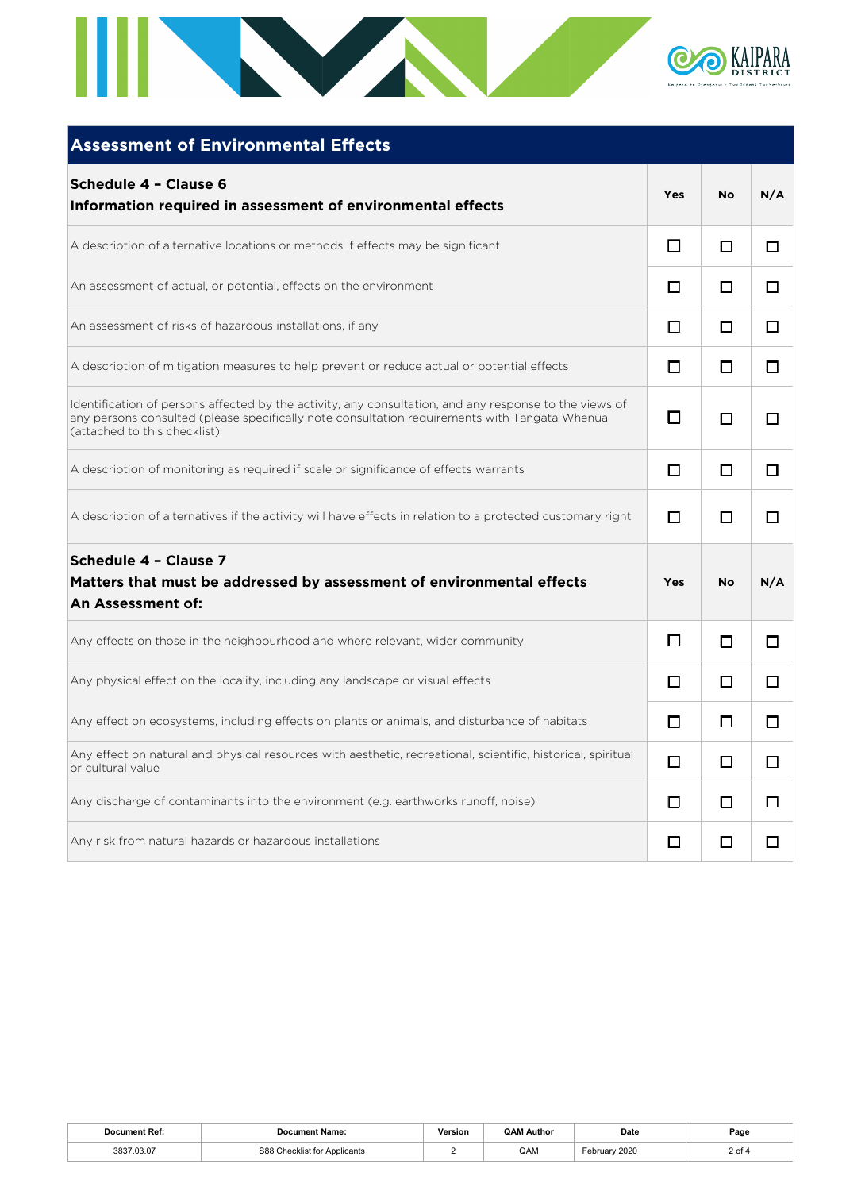

| <b>Assessment of Environmental Effects</b>                                                                                                                                                                                              |     |           |     |
|-----------------------------------------------------------------------------------------------------------------------------------------------------------------------------------------------------------------------------------------|-----|-----------|-----|
| Schedule 4 - Clause 6<br>Information required in assessment of environmental effects                                                                                                                                                    | Yes | <b>No</b> | N/A |
| A description of alternative locations or methods if effects may be significant                                                                                                                                                         | □   | □         | □   |
| An assessment of actual, or potential, effects on the environment                                                                                                                                                                       | □   | □         | ◻   |
| An assessment of risks of hazardous installations, if any                                                                                                                                                                               | П   | □         | □   |
| A description of mitigation measures to help prevent or reduce actual or potential effects                                                                                                                                              | □   | □         | □   |
| Identification of persons affected by the activity, any consultation, and any response to the views of<br>any persons consulted (please specifically note consultation requirements with Tangata Whenua<br>(attached to this checklist) | П   | □         | □   |
| A description of monitoring as required if scale or significance of effects warrants                                                                                                                                                    | □   | □         | п   |
| A description of alternatives if the activity will have effects in relation to a protected customary right                                                                                                                              | П   | □         | П   |
| Schedule 4 - Clause 7<br>Matters that must be addressed by assessment of environmental effects<br>An Assessment of:                                                                                                                     | Yes | <b>No</b> | N/A |
| Any effects on those in the neighbourhood and where relevant, wider community                                                                                                                                                           | П   | □         | □   |
| Any physical effect on the locality, including any landscape or visual effects                                                                                                                                                          | П   | п         | п   |
| Any effect on ecosystems, including effects on plants or animals, and disturbance of habitats                                                                                                                                           | п   | п         | п   |
| Any effect on natural and physical resources with aesthetic, recreational, scientific, historical, spiritual<br>or cultural value                                                                                                       | □   | □         | П   |
| Any discharge of contaminants into the environment (e.g. earthworks runoff, noise)                                                                                                                                                      | □   | □         | □   |
| Any risk from natural hazards or hazardous installations                                                                                                                                                                                | □   | □         | □   |

| ıt Ref<br><b>Joeumont</b> | Name:                                             | Version<br>. | ∩∆ ∗<br>Author | Date<br>.        | Page   |
|---------------------------|---------------------------------------------------|--------------|----------------|------------------|--------|
| 3837<br>.03.07            | S88<br>Checklist for /<br><sup>.</sup> Applicants | -            | QAM            | 2020<br>∴ebruar⊬ | 2 of 4 |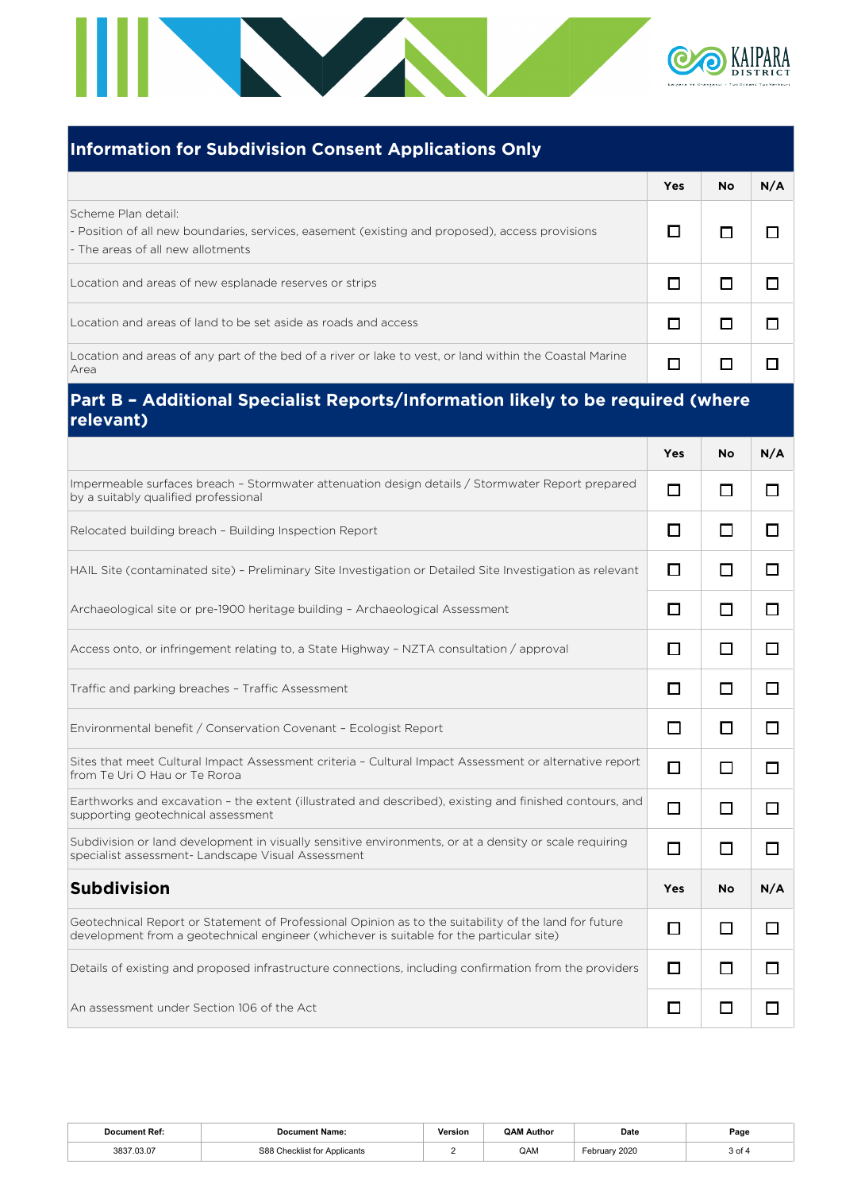

## **Information for Subdivision Consent Applications Only**

|                                                                                                                                                             | Yes | <b>No</b> | N/A |
|-------------------------------------------------------------------------------------------------------------------------------------------------------------|-----|-----------|-----|
| Scheme Plan detail:<br>- Position of all new boundaries, services, easement (existing and proposed), access provisions<br>- The areas of all new allotments |     |           |     |
| Location and areas of new esplanade reserves or strips                                                                                                      |     |           |     |
| Location and areas of land to be set aside as roads and access                                                                                              |     |           |     |
| Location and areas of any part of the bed of a river or lake to vest, or land within the Coastal Marine<br>  Area                                           |     |           |     |

# **Part B – Additional Specialist Reports/Information likely to be required (where relevant)**

|                                                                                                                                                                                                   | <b>Yes</b> | No        | N/A            |
|---------------------------------------------------------------------------------------------------------------------------------------------------------------------------------------------------|------------|-----------|----------------|
| Impermeable surfaces breach - Stormwater attenuation design details / Stormwater Report prepared<br>by a suitably qualified professional                                                          | П          | П         | П              |
| Relocated building breach - Building Inspection Report                                                                                                                                            | П          | П         | П              |
| HAIL Site (contaminated site) - Preliminary Site Investigation or Detailed Site Investigation as relevant                                                                                         | $\Box$     | □         | □              |
| Archaeological site or pre-1900 heritage building - Archaeological Assessment                                                                                                                     | П          | □         | □              |
| Access onto, or infringement relating to, a State Highway - NZTA consultation / approval                                                                                                          | П          | □         | □              |
| Traffic and parking breaches - Traffic Assessment                                                                                                                                                 | П          | П         | П              |
| Environmental benefit / Conservation Covenant - Ecologist Report                                                                                                                                  | □          | П         | □              |
| Sites that meet Cultural Impact Assessment criteria - Cultural Impact Assessment or alternative report<br>from Te Uri O Hau or Te Roroa                                                           | П          | П         | □              |
| Earthworks and excavation - the extent (illustrated and described), existing and finished contours, and<br>supporting geotechnical assessment                                                     | П          | п         | П              |
| Subdivision or land development in visually sensitive environments, or at a density or scale requiring<br>specialist assessment- Landscape Visual Assessment                                      | п          | $\Box$    | П              |
| <b>Subdivision</b>                                                                                                                                                                                | Yes        | <b>No</b> | N/A            |
| Geotechnical Report or Statement of Professional Opinion as to the suitability of the land for future<br>development from a geotechnical engineer (whichever is suitable for the particular site) | П          | п         | П              |
| Details of existing and proposed infrastructure connections, including confirmation from the providers                                                                                            | П          | П         | П              |
| An assessment under Section 106 of the Act                                                                                                                                                        |            | П         | $\blacksquare$ |

| ימ<br>וויממ  | .                                                       | Version<br>. | <b>QAM Author</b> | Date | Page |
|--------------|---------------------------------------------------------|--------------|-------------------|------|------|
| າດາກ<br>0002 | S88<br>Annlicante<br>. :her'<br>.klıst for<br>¬มมแ∪aнเง |              | QAM               | 2020 | ັບບ  |